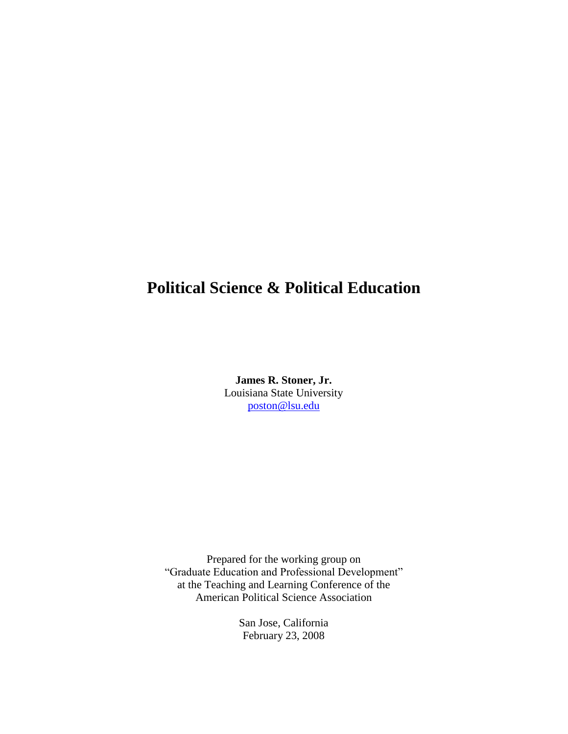## **Political Science & Political Education**

**James R. Stoner, Jr.** Louisiana State University poston@lsu.edu

Prepared for the working group on "Graduate Education and Professional Development" at the Teaching and Learning Conference of the American Political Science Association

> San Jose, California February 23, 2008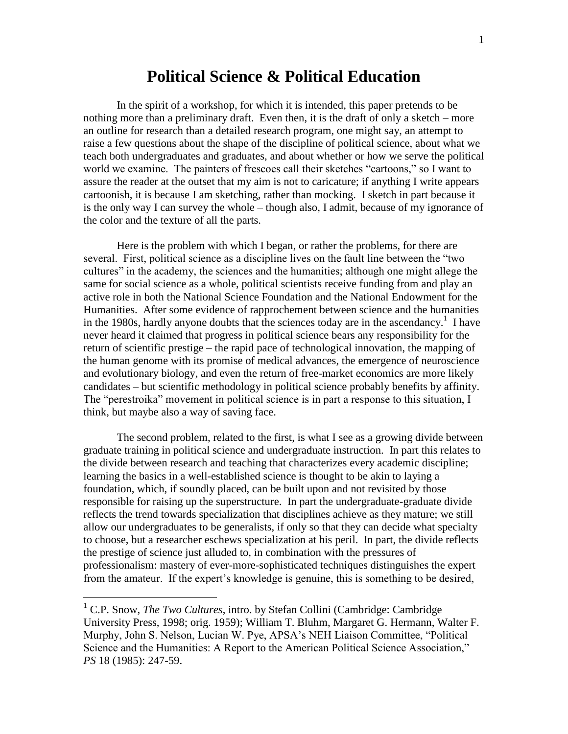## **Political Science & Political Education**

In the spirit of a workshop, for which it is intended, this paper pretends to be nothing more than a preliminary draft. Even then, it is the draft of only a sketch – more an outline for research than a detailed research program, one might say, an attempt to raise a few questions about the shape of the discipline of political science, about what we teach both undergraduates and graduates, and about whether or how we serve the political world we examine. The painters of frescoes call their sketches "cartoons," so I want to assure the reader at the outset that my aim is not to caricature; if anything I write appears cartoonish, it is because I am sketching, rather than mocking. I sketch in part because it is the only way I can survey the whole – though also, I admit, because of my ignorance of the color and the texture of all the parts.

Here is the problem with which I began, or rather the problems, for there are several. First, political science as a discipline lives on the fault line between the "two cultures" in the academy, the sciences and the humanities; although one might allege the same for social science as a whole, political scientists receive funding from and play an active role in both the National Science Foundation and the National Endowment for the Humanities. After some evidence of rapprochement between science and the humanities in the 1980s, hardly anyone doubts that the sciences today are in the ascendancy.<sup>1</sup> I have never heard it claimed that progress in political science bears any responsibility for the return of scientific prestige – the rapid pace of technological innovation, the mapping of the human genome with its promise of medical advances, the emergence of neuroscience and evolutionary biology, and even the return of free-market economics are more likely candidates –but scientific methodology in political science probably benefits by affinity. The "perestroika" movement in political science is in part a response to this situation, I think, but maybe also a way of saving face.

The second problem, related to the first, is what I see as a growing divide between graduate training in political science and undergraduate instruction. In part this relates to the divide between research and teaching that characterizes every academic discipline; learning the basics in a well-established science is thought to be akin to laying a foundation, which, if soundly placed, can be built upon and not revisited by those responsible for raising up the superstructure. In part the undergraduate-graduate divide reflects the trend towards specialization that disciplines achieve as they mature; we still allow our undergraduates to be generalists, if only so that they can decide what specialty to choose, but a researcher eschews specialization at his peril. In part, the divide reflects the prestige of science just alluded to, in combination with the pressures of professionalism: mastery of ever-more-sophisticated techniques distinguishes the expert from the amateur. If the expert's knowledge is genuine, this is something to be desired,

<sup>&</sup>lt;sup>1</sup> C.P. Snow, *The Two Cultures*, intro. by Stefan Collini (Cambridge: Cambridge University Press, 1998; orig. 1959); William T. Bluhm, Margaret G. Hermann, Walter F. Murphy, John S. Nelson, Lucian W. Pye, APSA's NEH Liaison Committee, "Political Science and the Humanities: A Report to the American Political Science Association," *PS* 18 (1985): 247-59.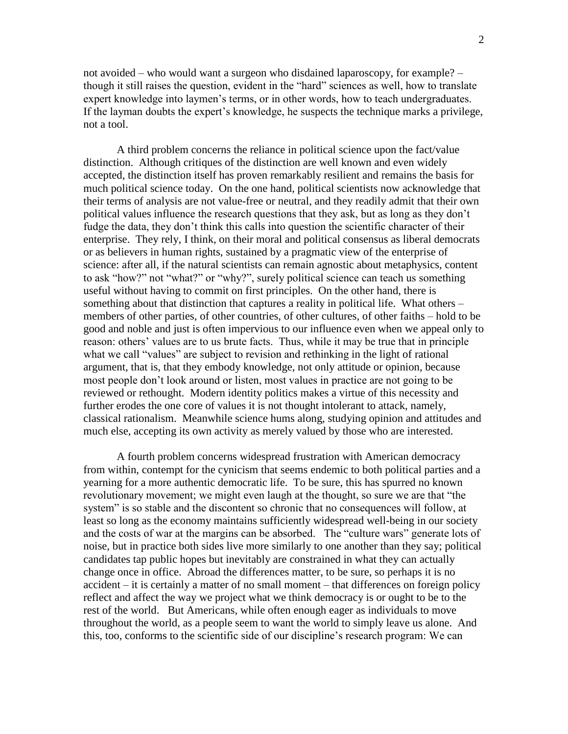not avoided –who would want a surgeon who disdained laparoscopy, for example? – though it still raises the question, evident in the "hard" sciences as well, how to translate expert knowledge into laymen's terms, or in other words, how to teach undergraduates. If the layman doubts the expert's knowledge, he suspects the technique marks a privilege, not a tool.

A third problem concerns the reliance in political science upon the fact/value distinction. Although critiques of the distinction are well known and even widely accepted, the distinction itself has proven remarkably resilient and remains the basis for much political science today. On the one hand, political scientists now acknowledge that their terms of analysis are not value-free or neutral, and they readily admit that their own political values influence the research questions that they ask, but as long as they don't fudge the data, they don't think this calls into question the scientific character of their enterprise. They rely, I think, on their moral and political consensus as liberal democrats or as believers in human rights, sustained by a pragmatic view of the enterprise of science: after all, if the natural scientists can remain agnostic about metaphysics, content to ask "how?" not "what?" or "why?", surely political science can teach us something useful without having to commit on first principles. On the other hand, there is something about that distinction that captures a reality in political life. What others – members of other parties, of other countries, of other cultures, of other faiths – hold to be good and noble and just is often impervious to our influence even when we appeal only to reason: others' values are to us brute facts. Thus, while it may be true that in principle what we call "values" are subject to revision and rethinking in the light of rational argument, that is, that they embody knowledge, not only attitude or opinion, because most people don't look around or listen, most values in practice are not going to be reviewed or rethought. Modern identity politics makes a virtue of this necessity and further erodes the one core of values it is not thought intolerant to attack, namely, classical rationalism. Meanwhile science hums along, studying opinion and attitudes and much else, accepting its own activity as merely valued by those who are interested.

A fourth problem concerns widespread frustration with American democracy from within, contempt for the cynicism that seems endemic to both political parties and a yearning for a more authentic democratic life. To be sure, this has spurred no known revolutionary movement; we might even laugh at the thought, so sure we are that "the system" is so stable and the discontent so chronic that no consequences will follow, at least so long as the economy maintains sufficiently widespread well-being in our society and the costs of war at the margins can be absorbed. The "culture wars" generate lots of noise, but in practice both sides live more similarly to one another than they say; political candidates tap public hopes but inevitably are constrained in what they can actually change once in office. Abroad the differences matter, to be sure, so perhaps it is no  $accident - it$  is certainly a matter of no small moment – that differences on foreign policy reflect and affect the way we project what we think democracy is or ought to be to the rest of the world. But Americans, while often enough eager as individuals to move throughout the world, as a people seem to want the world to simply leave us alone. And this, too, conforms to the scientific side of our discipline's research program: We can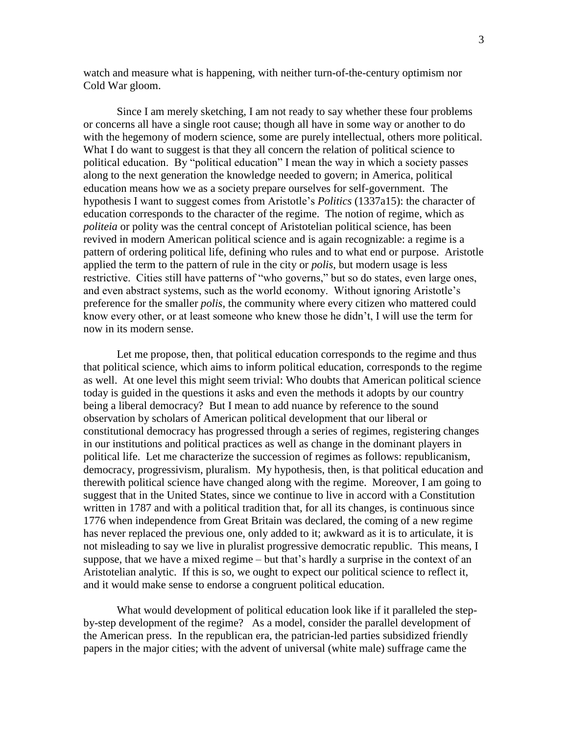watch and measure what is happening, with neither turn-of-the-century optimism nor Cold War gloom.

Since I am merely sketching, I am not ready to say whether these four problems or concerns all have a single root cause; though all have in some way or another to do with the hegemony of modern science, some are purely intellectual, others more political. What I do want to suggest is that they all concern the relation of political science to political education. By "political education" I mean the way in which a society passes along to the next generation the knowledge needed to govern; in America, political education means how we as a society prepare ourselves for self-government. The hypothesis I want to suggest comes from Aristotle's *Politics* (1337a15): the character of education corresponds to the character of the regime. The notion of regime, which as *politeia* or polity was the central concept of Aristotelian political science, has been revived in modern American political science and is again recognizable: a regime is a pattern of ordering political life, defining who rules and to what end or purpose. Aristotle applied the term to the pattern of rule in the city or *polis*, but modern usage is less restrictive. Cities still have patterns of "who governs," but so do states, even large ones, and even abstract systems, such as the world economy. Without ignoring Aristotle's preference for the smaller *polis*, the community where every citizen who mattered could know every other, or at least someone who knew those he didn't, I will use the term for now in its modern sense.

Let me propose, then, that political education corresponds to the regime and thus that political science, which aims to inform political education, corresponds to the regime as well. At one level this might seem trivial: Who doubts that American political science today is guided in the questions it asks and even the methods it adopts by our country being a liberal democracy? But I mean to add nuance by reference to the sound observation by scholars of American political development that our liberal or constitutional democracy has progressed through a series of regimes, registering changes in our institutions and political practices as well as change in the dominant players in political life. Let me characterize the succession of regimes as follows: republicanism, democracy, progressivism, pluralism. My hypothesis, then, is that political education and therewith political science have changed along with the regime. Moreover, I am going to suggest that in the United States, since we continue to live in accord with a Constitution written in 1787 and with a political tradition that, for all its changes, is continuous since 1776 when independence from Great Britain was declared, the coming of a new regime has never replaced the previous one, only added to it; awkward as it is to articulate, it is not misleading to say we live in pluralist progressive democratic republic. This means, I suppose, that we have a mixed regime  $-$  but that's hardly a surprise in the context of an Aristotelian analytic. If this is so, we ought to expect our political science to reflect it, and it would make sense to endorse a congruent political education.

What would development of political education look like if it paralleled the stepby-step development of the regime? As a model, consider the parallel development of the American press. In the republican era, the patrician-led parties subsidized friendly papers in the major cities; with the advent of universal (white male) suffrage came the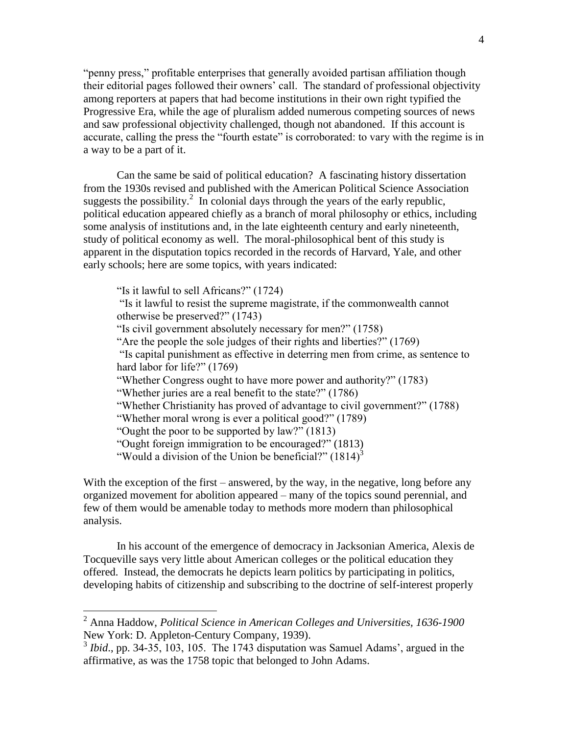"penny press," profitable enterprises that generally avoided partisan affiliation though their editorial pages followed their owners' call. The standard of professional objectivity among reporters at papers that had become institutions in their own right typified the Progressive Era, while the age of pluralism added numerous competing sources of news and saw professional objectivity challenged, though not abandoned. If this account is accurate, calling the press the "fourth estate" is corroborated: to vary with the regime is in a way to be a part of it.

Can the same be said of political education? A fascinating history dissertation from the 1930s revised and published with the American Political Science Association suggests the possibility.<sup>2</sup> In colonial days through the years of the early republic, political education appeared chiefly as a branch of moral philosophy or ethics, including some analysis of institutions and, in the late eighteenth century and early nineteenth, study of political economy as well. The moral-philosophical bent of this study is apparent in the disputation topics recorded in the records of Harvard, Yale, and other early schools; here are some topics, with years indicated:

"Is it lawful to sell Africans?" (1724) "Is it lawful to resist the supreme magistrate, if the commonwealth cannot otherwise be preserved?" (1743) "Is civil government absolutely necessary for men?" (1758) "Are the people the sole judges of their rights and liberties?" $(1769)$ "Is capital punishment as effective in deterring men from crime, as sentence to hard labor for life?" $(1769)$ "Whether Congress ought to have more power and authority?" (1783) "Whether juries are a real benefit to the state?" $(1786)$ "Whether Christianity has proved of advantage to civil government?" (1788) "Whether moral wrong is ever a political good?" (1789) "Ought the poor to be supported by  $law$ ?" (1813) "Ought foreign immigration to be encouraged?" (1813) "Would a division of the Union be beneficial?"  $(1814)^3$ 

With the exception of the first – answered, by the way, in the negative, long before any organized movement for abolition appeared –many of the topics sound perennial, and few of them would be amenable today to methods more modern than philosophical analysis.

In his account of the emergence of democracy in Jacksonian America, Alexis de Tocqueville says very little about American colleges or the political education they offered. Instead, the democrats he depicts learn politics by participating in politics, developing habits of citizenship and subscribing to the doctrine of self-interest properly

<sup>2</sup> Anna Haddow, *Political Science in American Colleges and Universities, 1636-1900* New York: D. Appleton-Century Company, 1939).

 $3$  *Ibid.*, pp. 34-35, 103, 105. The 1743 disputation was Samuel Adams', argued in the affirmative, as was the 1758 topic that belonged to John Adams.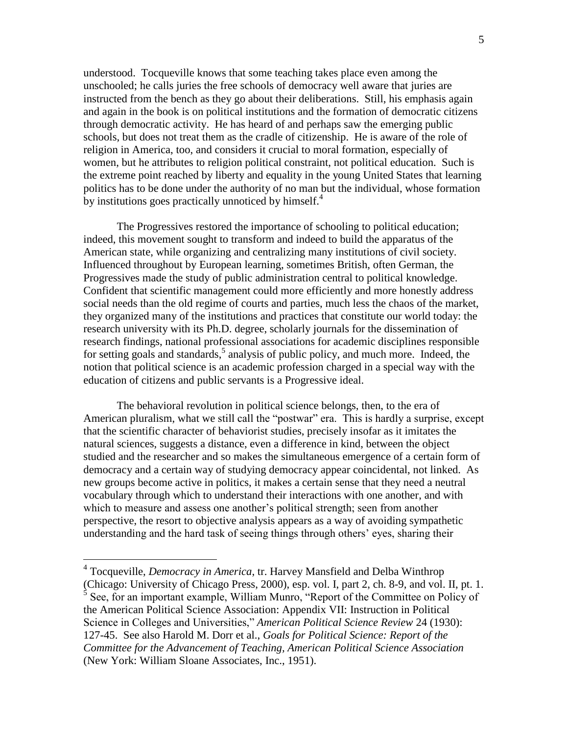understood. Tocqueville knows that some teaching takes place even among the unschooled; he calls juries the free schools of democracy well aware that juries are instructed from the bench as they go about their deliberations. Still, his emphasis again and again in the book is on political institutions and the formation of democratic citizens through democratic activity. He has heard of and perhaps saw the emerging public schools, but does not treat them as the cradle of citizenship. He is aware of the role of religion in America, too, and considers it crucial to moral formation, especially of women, but he attributes to religion political constraint, not political education. Such is the extreme point reached by liberty and equality in the young United States that learning politics has to be done under the authority of no man but the individual, whose formation by institutions goes practically unnoticed by himself.<sup>4</sup>

The Progressives restored the importance of schooling to political education; indeed, this movement sought to transform and indeed to build the apparatus of the American state, while organizing and centralizing many institutions of civil society. Influenced throughout by European learning, sometimes British, often German, the Progressives made the study of public administration central to political knowledge. Confident that scientific management could more efficiently and more honestly address social needs than the old regime of courts and parties, much less the chaos of the market, they organized many of the institutions and practices that constitute our world today: the research university with its Ph.D. degree, scholarly journals for the dissemination of research findings, national professional associations for academic disciplines responsible for setting goals and standards,<sup>5</sup> analysis of public policy, and much more. Indeed, the notion that political science is an academic profession charged in a special way with the education of citizens and public servants is a Progressive ideal.

The behavioral revolution in political science belongs, then, to the era of American pluralism, what we still call the "postwar" era. This is hardly a surprise, except that the scientific character of behaviorist studies, precisely insofar as it imitates the natural sciences, suggests a distance, even a difference in kind, between the object studied and the researcher and so makes the simultaneous emergence of a certain form of democracy and a certain way of studying democracy appear coincidental, not linked. As new groups become active in politics, it makes a certain sense that they need a neutral vocabulary through which to understand their interactions with one another, and with which to measure and assess one another's political strength; seen from another perspective, the resort to objective analysis appears as a way of avoiding sympathetic understanding and the hard task of seeing things through others' eyes, sharing their

<sup>4</sup> Tocqueville, *Democracy in America*, tr. Harvey Mansfield and Delba Winthrop (Chicago: University of Chicago Press, 2000), esp. vol. I, part 2, ch. 8-9, and vol. II, pt. 1.  $<sup>5</sup>$  See, for an important example, William Munro, "Report of the Committee on Policy of</sup> the American Political Science Association: Appendix VII: Instruction in Political Science in Colleges and Universities," *American Political Science Review* 24 (1930): 127-45. See also Harold M. Dorr et al., *Goals for Political Science: Report of the Committee for the Advancement of Teaching, American Political Science Association* (New York: William Sloane Associates, Inc., 1951).